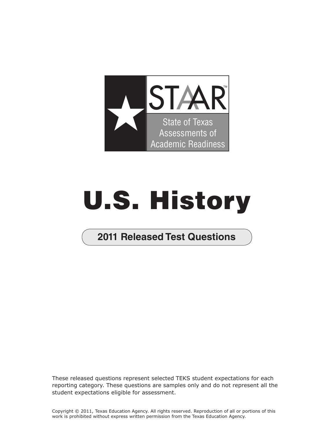

## **U.S. History**

**2011 Released Test Questions** 

These released questions represent selected TEKS student expectations for each reporting category. These questions are samples only and do not represent all the student expectations eligible for assessment.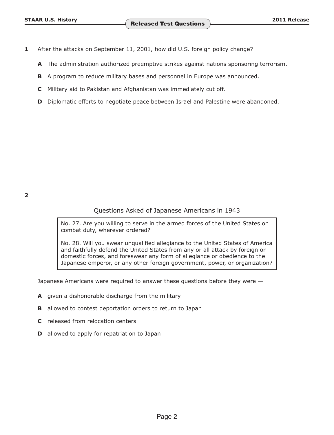- <span id="page-1-0"></span>**1** After the attacks on September 11, 2001, how did U.S. foreign policy change?
	- **A** The administration authorized preemptive strikes against nations sponsoring terrorism.
	- **B** A program to reduce military bases and personnel in Europe was announced.
	- **C** Military aid to Pakistan and Afghanistan was immediately cut off.
	- **D** Diplomatic efforts to negotiate peace between Israel and Palestine were abandoned.

## Questions Asked of Japanese Americans in 1943

No. 27. Are you willing to serve in the armed forces of the United States on combat duty, wherever ordered?

No. 28. Will you swear unqualified allegiance to the United States of America and faithfully defend the United States from any or all attack by foreign or domestic forces, and foreswear any form of allegiance or obedience to the Japanese emperor, or any other foreign government, power, or organization?

Japanese Americans were required to answer these questions before they were —

- **A** given a dishonorable discharge from the military
- **B** allowed to contest deportation orders to return to Japan
- **C** released from relocation centers
- **D** allowed to apply for repatriation to Japan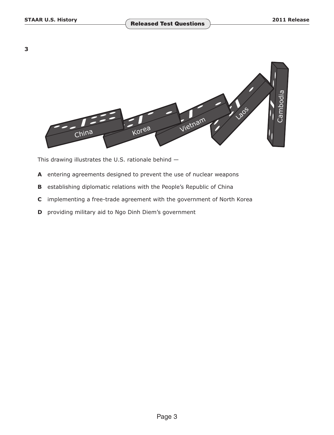<span id="page-2-0"></span>

This drawing illustrates the U.S. rationale behind —

- **A** entering agreements designed to prevent the use of nuclear weapons
- **B** establishing diplomatic relations with the People's Republic of China
- **C** implementing a free-trade agreement with the government of North Korea
- **D** providing military aid to Ngo Dinh Diem's government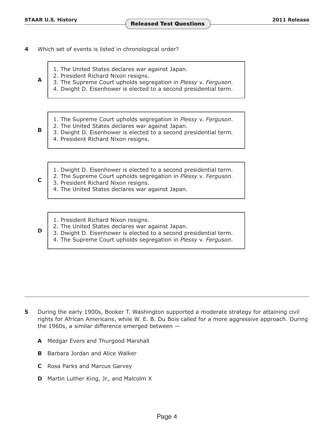- <span id="page-3-0"></span>**4** Which set of events is listed in chronological order?
	- 1. The United States declares war against Japan.
	-
	- 2. President Richard Nixon resigns. **A** 3. The Supreme Court upholds segregation in *Plessy* v. *Ferguson*.
		- 4. Dwight D. Eisenhower is elected to a second presidential term.
		- 1. The Supreme Court upholds segregation in *Plessy* v. *Ferguson*.
		-
	- 2. The United States declares war against Japan.<br>**B** 3. Dwight D. Eisenhower is elected to a second presidential term.
		- 4. President Richard Nixon resigns.
		- 1. Dwight D. Eisenhower is elected to a second presidential term.
	- 2. The Supreme Court upholds segregation in *Plessy* v. *Ferguson*. **C** 3. President Richard Nixon resigns.
		- 4. The United States declares war against Japan.
		- 1. President Richard Nixon resigns.
		-
	- 2. The United States declares war against Japan.<br>**D** 3. Dwight D. Eisenhower is elected to a second presidential term.
		- 4. The Supreme Court upholds segregation in *Plessy* v. *Ferguson*.

- **5** During the early 1900s, Booker T. Washington supported a moderate strategy for attaining civil rights for African Americans, while W. E. B. Du Bois called for a more aggressive approach. During the 1960s, a similar difference emerged between  $-$ 
	- **A** Medgar Evers and Thurgood Marshall
	- **B** Barbara Jordan and Alice Walker
	- **C** Rosa Parks and Marcus Garvey
	- **D** Martin Luther King, Jr., and Malcolm X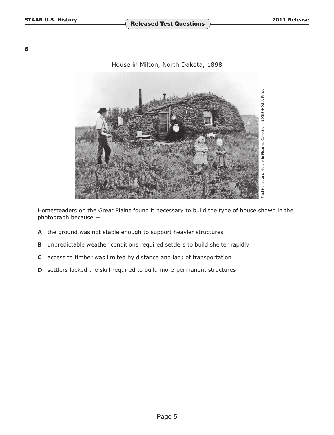**STAAR U.S. History Released Test Questions** 2011 Release

**6** 

## House in Milton, North Dakota, 1898



Homesteaders on the Great Plains found it necessary to build the type of house shown in the photograph because —

- **A** the ground was not stable enough to support heavier structures
- **B** unpredictable weather conditions required settlers to build shelter rapidly
- **C** access to timber was limited by distance and lack of transportation
- **D** settlers lacked the skill required to build more-permanent structures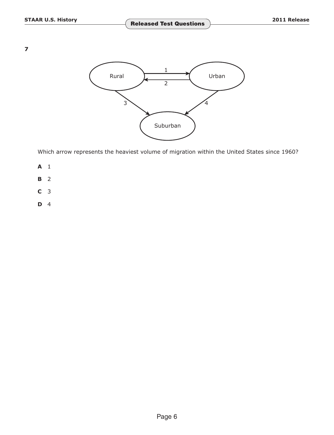

Which arrow represents the heaviest volume of migration within the United States since 1960?

- **A** 1
- **B** [2](#page-1-0)
- **C** [3](#page-2-0)
- **D** [4](#page-3-0)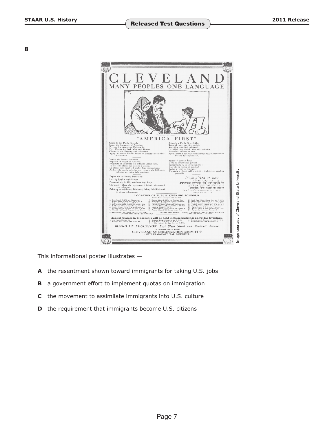

This informational poster illustrates —

- **A** the resentment shown toward immigrants for taking U.S. jobs
- **B** a government effort to implement quotas on immigration
- **C** the movement to assimilate immigrants into U.S. culture
- **D** the requirement that immigrants become U.S. citizens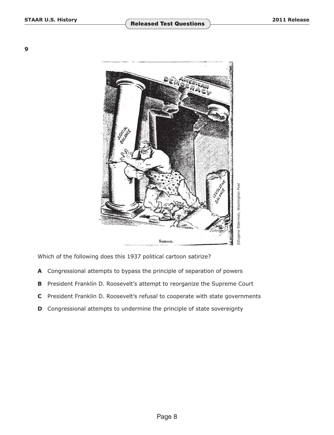

Which of the following does this 1937 political cartoon satirize?

- **A** Congressional attempts to bypass the principle of separation of powers
- **B** President Franklin D. Roosevelt's attempt to reorganize the Supreme Court
- **C** President Franklin D. Roosevelt's refusal to cooperate with state governments
- **D** Congressional attempts to undermine the principle of state sovereignty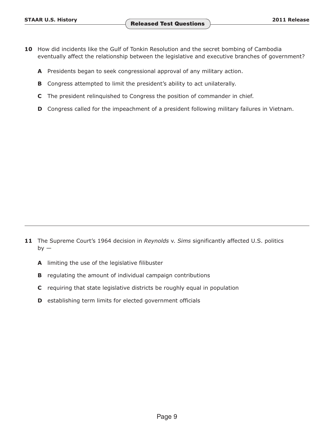- **10** How did incidents like the Gulf of Tonkin Resolution and the secret bombing of Cambodia eventually affect the relationship between the legislative and executive branches of government?
	- **A** Presidents began to seek congressional approval of any military action.
	- **B** Congress attempted to limit the president's ability to act unilaterally.
	- **C** The president relinquished to Congress the position of commander in chief.
	- **D** Congress called for the impeachment of a president following military failures in Vietnam.

- 11 The Supreme Court's 1964 decision in *Reynolds v. Sims* significantly affected U.S. politics  $by -$ 
	- **A** limiting the use of the legislative filibuster
	- **B** regulating the amount of individual campaign contributions
	- **C** requiring that state legislative districts be roughly equal in population
	- **D** establishing term limits for elected government officials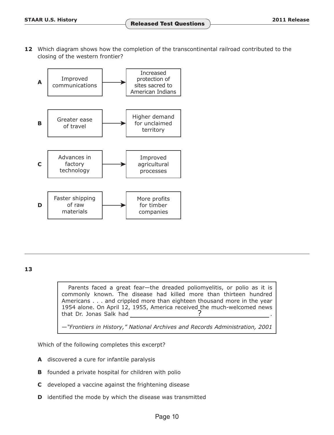**12** Which diagram shows how the completion of the transcontinental railroad contributed to the closing of the western frontier?



**13** 

Parents faced a great fear—the dreaded poliomyelitis, or polio as it is commonly known. The disease had killed more than thirteen hundred Americans . . . and crippled more than eighteen thousand more in the year 1954 alone. On April 12, 1955, America received the much-welcomed news that Dr. Jonas Salk had

—*"Frontiers in History," National Archives and Records Administration, 2001* 

Which of the following completes this excerpt?

- **A** discovered a cure for infantile paralysis
- **B** founded a private hospital for children with polio
- **C** developed a vaccine against the frightening disease
- **D** identified the mode by which the disease was transmitted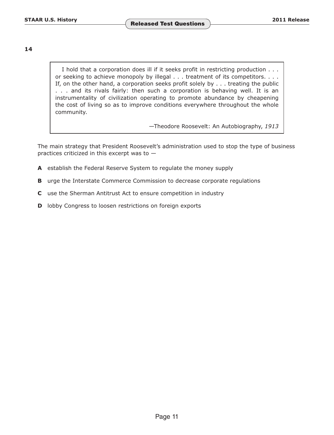I hold that a corporation does ill if it seeks profit in restricting production . . . or seeking to achieve monopoly by illegal . . . treatment of its competitors. . . . If, on the other hand, a corporation seeks profit solely by . . . treating the public . . . and its rivals fairly: then such a corporation is behaving well. It is an instrumentality of civilization operating to promote abundance by cheapening the cost of living so as to improve conditions everywhere throughout the whole community.

—Theodore Roosevelt: An Autobiography, *1913* 

The main strategy that President Roosevelt's administration used to stop the type of business practices criticized in this excerpt was to —

- **A** establish the Federal Reserve System to regulate the money supply
- **B** urge the Interstate Commerce Commission to decrease corporate regulations
- **C** use the Sherman Antitrust Act to ensure competition in industry
- **D** lobby Congress to loosen restrictions on foreign exports